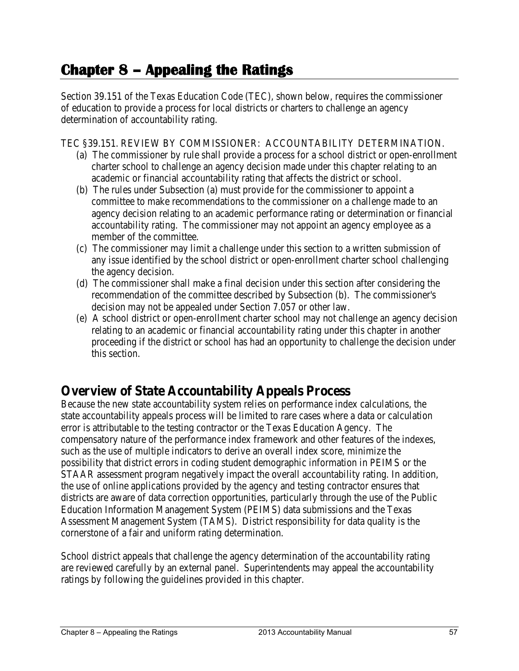# **Chapter 8 – Appealing the Ratings**

Section 39.151 of the Texas Education Code (TEC), shown below, requires the commissioner of education to provide a process for local districts or charters to challenge an agency determination of accountability rating.

#### TEC §39.151. REVIEW BY COMMISSIONER: ACCOUNTABILITY DETERMINATION.

- (a) The commissioner by rule shall provide a process for a school district or open-enrollment charter school to challenge an agency decision made under this chapter relating to an academic or financial accountability rating that affects the district or school.
- (b) The rules under Subsection (a) must provide for the commissioner to appoint a committee to make recommendations to the commissioner on a challenge made to an agency decision relating to an academic performance rating or determination or financial accountability rating. The commissioner may not appoint an agency employee as a member of the committee.
- (c) The commissioner may limit a challenge under this section to a written submission of any issue identified by the school district or open-enrollment charter school challenging the agency decision.
- (d) The commissioner shall make a final decision under this section after considering the recommendation of the committee described by Subsection (b). The commissioner's decision may not be appealed under Section 7.057 or other law.
- (e) A school district or open-enrollment charter school may not challenge an agency decision relating to an academic or financial accountability rating under this chapter in another proceeding if the district or school has had an opportunity to challenge the decision under this section.

## **Overview of State Accountability Appeals Process**

Because the new state accountability system relies on performance index calculations, the state accountability appeals process will be limited to rare cases where a data or calculation error is attributable to the testing contractor or the Texas Education Agency. The compensatory nature of the performance index framework and other features of the indexes, such as the use of multiple indicators to derive an overall index score, minimize the possibility that district errors in coding student demographic information in PEIMS or the STAAR assessment program negatively impact the overall accountability rating. In addition, the use of online applications provided by the agency and testing contractor ensures that districts are aware of data correction opportunities, particularly through the use of the Public Education Information Management System (PEIMS) data submissions and the Texas Assessment Management System (TAMS). District responsibility for data quality is the cornerstone of a fair and uniform rating determination.

School district appeals that challenge the agency determination of the accountability rating are reviewed carefully by an external panel. Superintendents may appeal the accountability ratings by following the guidelines provided in this chapter.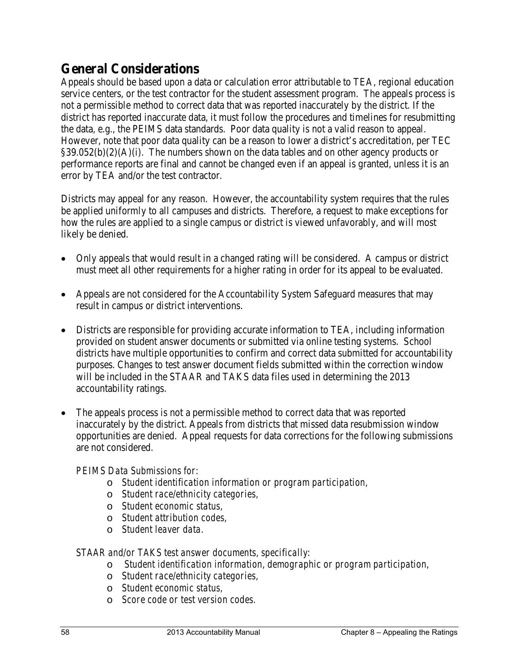## **General Considerations**

Appeals should be based upon a data or calculation error attributable to TEA, regional education service centers, or the test contractor for the student assessment program. The appeals process is not a permissible method to correct data that was reported inaccurately by the district. If the district has reported inaccurate data, it must follow the procedures and timelines for resubmitting the data, e.g., the PEIMS data standards. Poor data quality is not a valid reason to appeal. However, note that poor data quality can be a reason to lower a district's accreditation, per TEC  $§39.052(b)(2)(A)(i)$ . The numbers shown on the data tables and on other agency products or performance reports are final and cannot be changed even if an appeal is granted, unless it is an error by TEA and/or the test contractor.

Districts may appeal for any reason. However, the accountability system requires that the rules be applied uniformly to all campuses and districts. Therefore, a request to make exceptions for how the rules are applied to a single campus or district is viewed unfavorably, and will most likely be denied.

- Only appeals that would result in a changed rating will be considered. A campus or district must meet all other requirements for a higher rating in order for its appeal to be evaluated.
- Appeals are not considered for the Accountability System Safeguard measures that may result in campus or district interventions.
- Districts are responsible for providing accurate information to TEA, including information provided on student answer documents or submitted via online testing systems. School districts have multiple opportunities to confirm and correct data submitted for accountability purposes. Changes to test answer document fields submitted within the correction window will be included in the STAAR and TAKS data files used in determining the 2013 accountability ratings.
- The appeals process is not a permissible method to correct data that was reported inaccurately by the district. Appeals from districts that missed data resubmission window opportunities are denied. Appeal requests for data corrections for the following submissions are not considered.

#### *PEIMS Data Submissions for:*

- o *Student identification information or program participation,*
- o *Student race/ethnicity categories,*
- o *Student economic status,*
- o *Student attribution codes,*
- o *Student leaver data.*

#### *STAAR and/or TAKS test answer documents, specifically:*

- o *Student identification information, demographic or program participation,*
- o *Student race/ethnicity categories,*
- o *Student economic status,*
- o *Score code or test version codes.*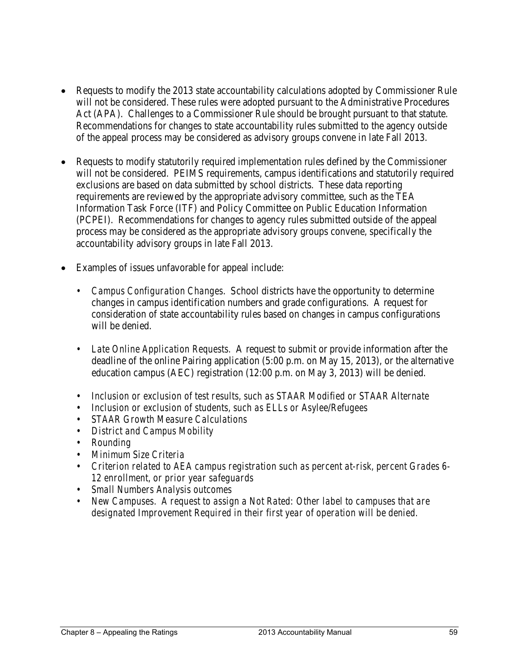- Requests to modify the 2013 state accountability calculations adopted by Commissioner Rule will not be considered. These rules were adopted pursuant to the Administrative Procedures Act (APA). Challenges to a Commissioner Rule should be brought pursuant to that statute. Recommendations for changes to state accountability rules submitted to the agency outside of the appeal process may be considered as advisory groups convene in late Fall 2013.
- Requests to modify statutorily required implementation rules defined by the Commissioner will not be considered. PEIMS requirements, campus identifications and statutorily required exclusions are based on data submitted by school districts. These data reporting requirements are reviewed by the appropriate advisory committee, such as the TEA Information Task Force (ITF) and Policy Committee on Public Education Information (PCPEI). Recommendations for changes to agency rules submitted outside of the appeal process may be considered as the appropriate advisory groups convene, specifically the accountability advisory groups in late Fall 2013.
- Examples of issues unfavorable for appeal include:
	- *Campus Configuration Changes*. School districts have the opportunity to determine changes in campus identification numbers and grade configurations. A request for consideration of state accountability rules based on changes in campus configurations will be denied.
	- *Late Online Application Requests.* A request to submit or provide information after the deadline of the online Pairing application (5:00 p.m. on May 15, 2013), or the alternative education campus (AEC) registration (12:00 p.m. on May 3, 2013) will be denied.
	- *Inclusion or exclusion of test results, such as STAAR Modified or STAAR Alternate*
	- *Inclusion or exclusion of students, such as ELLs or Asylee/Refugees*
	- *STAAR Growth Measure Calculations*
	- *District and Campus Mobility*
	- *Rounding*
	- *Minimum Size Criteria*
	- *Criterion related to AEA campus registration such as percent at-risk, percent Grades 6- 12 enrollment, or prior year safeguards*
	- *Small Numbers Analysis outcomes*
	- *New Campuses. A request to assign a Not Rated: Other label to campuses that are designated Improvement Required in their first year of operation will be denied.*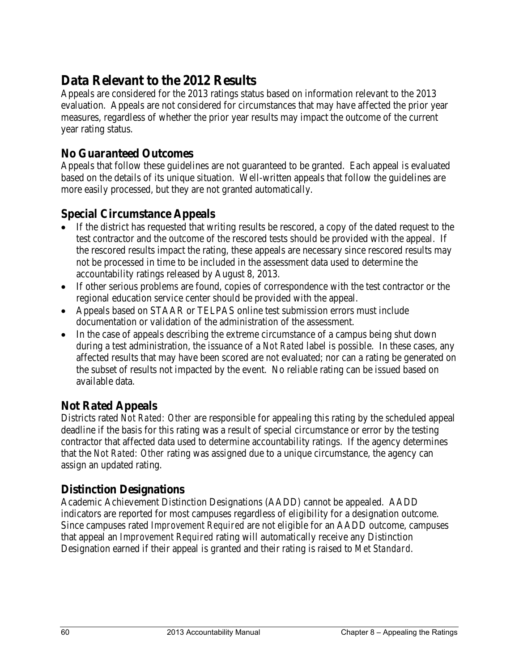## **Data Relevant to the 2012 Results**

Appeals are considered for the 2013 ratings status based on information relevant to the 2013 evaluation. Appeals are not considered for circumstances that may have affected the prior year measures, regardless of whether the prior year results may impact the outcome of the current year rating status.

### **No Guaranteed Outcomes**

Appeals that follow these guidelines are not guaranteed to be granted. Each appeal is evaluated based on the details of its unique situation. Well-written appeals that follow the guidelines are more easily processed, but they are not granted automatically.

### **Special Circumstance Appeals**

- If the district has requested that writing results be rescored, a copy of the dated request to the test contractor and the outcome of the rescored tests should be provided with the appeal. If the rescored results impact the rating, these appeals are necessary since rescored results may not be processed in time to be included in the assessment data used to determine the accountability ratings released by August 8, 2013.
- If other serious problems are found, copies of correspondence with the test contractor or the regional education service center should be provided with the appeal.
- Appeals based on STAAR or TELPAS online test submission errors must include documentation or validation of the administration of the assessment.
- In the case of appeals describing the extreme circumstance of a campus being shut down during a test administration, the issuance of a *Not Rated* label is possible. In these cases, any affected results that may have been scored are not evaluated; nor can a rating be generated on the subset of results not impacted by the event. No reliable rating can be issued based on available data.

#### **Not Rated Appeals**

Districts rated *Not Rated: Other* are responsible for appealing this rating by the scheduled appeal deadline if the basis for this rating was a result of special circumstance or error by the testing contractor that affected data used to determine accountability ratings. If the agency determines that the *Not Rated: Other* rating was assigned due to a unique circumstance, the agency can assign an updated rating.

#### **Distinction Designations**

Academic Achievement Distinction Designations (AADD) cannot be appealed. AADD indicators are reported for most campuses regardless of eligibility for a designation outcome. Since campuses rated *Improvement Required* are not eligible for an AADD outcome, campuses that appeal an *Improvement Required* rating will automatically receive any Distinction Designation earned if their appeal is granted and their rating is raised to *Met Standard*.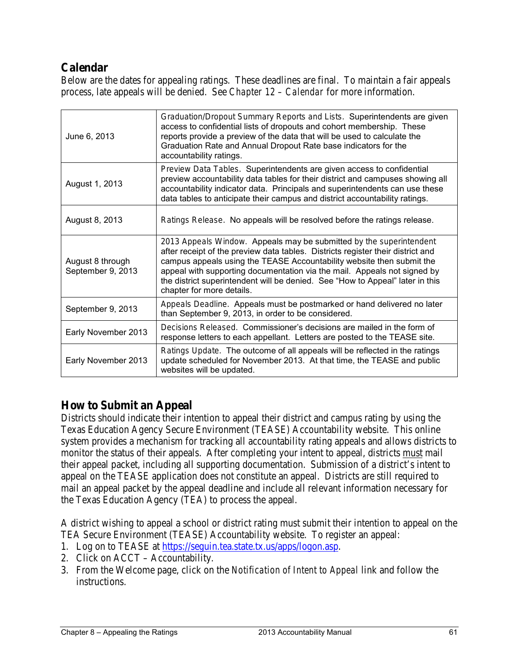### **Calendar**

Below are the dates for appealing ratings. These deadlines are final. To maintain a fair appeals process, late appeals will be denied. See *Chapter 12 – Calendar* for more information.

| June 6, 2013                          | Graduation/Dropout Summary Reports and Lists. Superintendents are given<br>access to confidential lists of dropouts and cohort membership. These<br>reports provide a preview of the data that will be used to calculate the<br>Graduation Rate and Annual Dropout Rate base indicators for the<br>accountability ratings.                                                                                                |  |
|---------------------------------------|---------------------------------------------------------------------------------------------------------------------------------------------------------------------------------------------------------------------------------------------------------------------------------------------------------------------------------------------------------------------------------------------------------------------------|--|
| August 1, 2013                        | Preview Data Tables. Superintendents are given access to confidential<br>preview accountability data tables for their district and campuses showing all<br>accountability indicator data. Principals and superintendents can use these<br>data tables to anticipate their campus and district accountability ratings.                                                                                                     |  |
| August 8, 2013                        | Ratings Release. No appeals will be resolved before the ratings release.                                                                                                                                                                                                                                                                                                                                                  |  |
| August 8 through<br>September 9, 2013 | 2013 Appeals Window. Appeals may be submitted by the superintendent<br>after receipt of the preview data tables. Districts register their district and<br>campus appeals using the TEASE Accountability website then submit the<br>appeal with supporting documentation via the mail. Appeals not signed by<br>the district superintendent will be denied. See "How to Appeal" later in this<br>chapter for more details. |  |
| September 9, 2013                     | Appeals Deadline. Appeals must be postmarked or hand delivered no later<br>than September 9, 2013, in order to be considered.                                                                                                                                                                                                                                                                                             |  |
| Early November 2013                   | Decisions Released. Commissioner's decisions are mailed in the form of<br>response letters to each appellant. Letters are posted to the TEASE site.                                                                                                                                                                                                                                                                       |  |
| Early November 2013                   | Ratings Update. The outcome of all appeals will be reflected in the ratings<br>update scheduled for November 2013. At that time, the TEASE and public<br>websites will be updated.                                                                                                                                                                                                                                        |  |

#### **How to Submit an Appeal**

Districts should indicate their intention to appeal their district and campus rating by using the Texas Education Agency Secure Environment (TEASE) Accountability website. This online system provides a mechanism for tracking all accountability rating appeals and allows districts to monitor the status of their appeals. After completing your intent to appeal, districts must mail their appeal packet, including all supporting documentation. Submission of a district's intent to appeal on the TEASE application does not constitute an appeal. Districts are still required to mail an appeal packet by the appeal deadline and include all relevant information necessary for the Texas Education Agency (TEA) to process the appeal.

A district wishing to appeal a school or district rating must submit their intention to appeal on the TEA Secure Environment (TEASE) Accountability website. To register an appeal:

- 1. Log on to TEASE at [https://seguin.tea.state.tx.us/apps/logon.asp.](https://seguin.tea.state.tx.us/apps/logon.asp)
- 2. Click on ACCT Accountability.
- 3. From the Welcome page, click on the *Notification of Intent to Appeal* link and follow the instructions.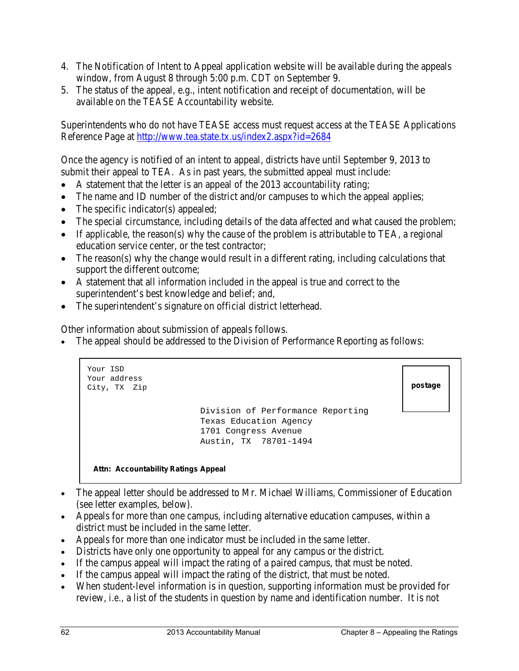- 4. The Notification of Intent to Appeal application website will be available during the appeals window, from August 8 through 5:00 p.m. CDT on September 9.
- 5. The status of the appeal, e.g., intent notification and receipt of documentation, will be available on the TEASE Accountability website.

Superintendents who do not have TEASE access must request access at the TEASE Applications Reference Page at<http://www.tea.state.tx.us/index2.aspx?id=2684>

Once the agency is notified of an intent to appeal, districts have until September 9, 2013 to submit their appeal to TEA. As in past years, the submitted appeal must include:

- A statement that the letter is an appeal of the 2013 accountability rating;
- The name and ID number of the district and/or campuses to which the appeal applies;
- The specific indicator(s) appealed;
- The special circumstance, including details of the data affected and what caused the problem;
- If applicable, the reason(s) why the cause of the problem is attributable to TEA, a regional education service center, or the test contractor;
- The reason(s) why the change would result in a different rating, including calculations that support the different outcome;
- A statement that all information included in the appeal is true and correct to the superintendent's best knowledge and belief; and,
- The superintendent's signature on official district letterhead.

Other information about submission of appeals follows.

The appeal should be addressed to the Division of Performance Reporting as follows:

```
Division of Performance Reporting
                Texas Education Agency
                1701 Congress Avenue
                Austin, TX 78701-1494
Your ISD
Your address 
City, TX Zip postage
```
#### **Attn: Accountability Ratings Appeal**

- The appeal letter should be addressed to Mr. Michael Williams, Commissioner of Education (see letter examples, below).
- Appeals for more than one campus, including alternative education campuses, within a district must be included in the same letter.
- Appeals for more than one indicator must be included in the same letter.
- Districts have only one opportunity to appeal for any campus or the district.
- If the campus appeal will impact the rating of a paired campus, that must be noted.
- If the campus appeal will impact the rating of the district, that must be noted.
- When student-level information is in question, supporting information must be provided for review, *i.e.,* a list of the students in question by name and identification number. It is not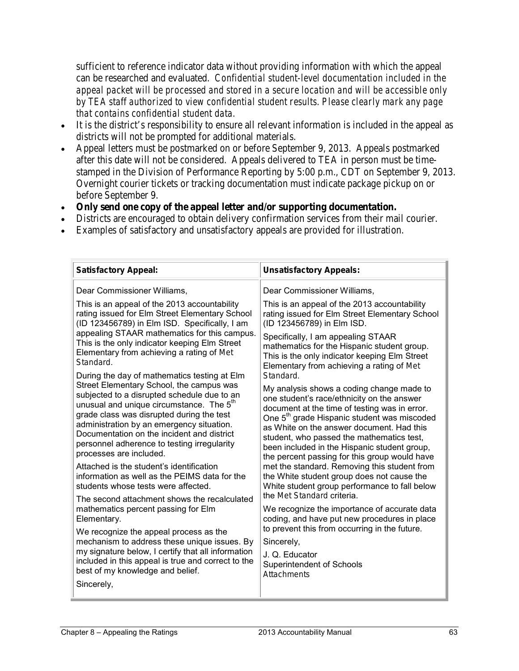sufficient to reference indicator data without providing information with which the appeal can be researched and evaluated. *Confidential student-level documentation included in the appeal packet will be processed and stored in a secure location and will be accessible only by TEA staff authorized to view confidential student results. Please clearly mark any page that contains confidential student data.*

- It is the district's responsibility to ensure all relevant information is included in the appeal as districts will not be prompted for additional materials.
- Appeal letters must be postmarked on or before September 9, 2013. Appeals postmarked after this date will not be considered. Appeals delivered to TEA in person must be timestamped in the Division of Performance Reporting by 5:00 p.m., CDT on September 9, 2013. Overnight courier tickets or tracking documentation must indicate package pickup on or before September 9.
- **Only send one copy of the appeal letter and/or supporting documentation.**
- Districts are encouraged to obtain delivery confirmation services from their mail courier.
- Examples of satisfactory and unsatisfactory appeals are provided for illustration.

| <b>Satisfactory Appeal:</b>                                                                                                                                                                                                                          | <b>Unsatisfactory Appeals:</b>                                                                                            |
|------------------------------------------------------------------------------------------------------------------------------------------------------------------------------------------------------------------------------------------------------|---------------------------------------------------------------------------------------------------------------------------|
| Dear Commissioner Williams,                                                                                                                                                                                                                          | Dear Commissioner Williams,                                                                                               |
| This is an appeal of the 2013 accountability                                                                                                                                                                                                         | This is an appeal of the 2013 accountability                                                                              |
| rating issued for Elm Street Elementary School                                                                                                                                                                                                       | rating issued for Elm Street Elementary School                                                                            |
| (ID 123456789) in Elm ISD. Specifically, I am                                                                                                                                                                                                        | (ID 123456789) in Elm ISD.                                                                                                |
| appealing STAAR mathematics for this campus.                                                                                                                                                                                                         | Specifically, I am appealing STAAR                                                                                        |
| This is the only indicator keeping Elm Street                                                                                                                                                                                                        | mathematics for the Hispanic student group.                                                                               |
| Elementary from achieving a rating of Met                                                                                                                                                                                                            | This is the only indicator keeping Elm Street                                                                             |
| Standard.                                                                                                                                                                                                                                            | Elementary from achieving a rating of Met                                                                                 |
| During the day of mathematics testing at Elm                                                                                                                                                                                                         | Standard.                                                                                                                 |
| Street Elementary School, the campus was                                                                                                                                                                                                             | My analysis shows a coding change made to                                                                                 |
| subjected to a disrupted schedule due to an                                                                                                                                                                                                          | one student's race/ethnicity on the answer                                                                                |
| unusual and unique circumstance. The 5 <sup>th</sup>                                                                                                                                                                                                 | document at the time of testing was in error.                                                                             |
| grade class was disrupted during the test                                                                                                                                                                                                            | One 5 <sup>th</sup> grade Hispanic student was miscoded                                                                   |
| administration by an emergency situation.                                                                                                                                                                                                            | as White on the answer document. Had this                                                                                 |
| Documentation on the incident and district                                                                                                                                                                                                           | student, who passed the mathematics test,                                                                                 |
| personnel adherence to testing irregularity                                                                                                                                                                                                          | been included in the Hispanic student group,                                                                              |
| processes are included.                                                                                                                                                                                                                              | the percent passing for this group would have                                                                             |
| Attached is the student's identification                                                                                                                                                                                                             | met the standard. Removing this student from                                                                              |
| information as well as the PEIMS data for the                                                                                                                                                                                                        | the White student group does not cause the                                                                                |
| students whose tests were affected.                                                                                                                                                                                                                  | White student group performance to fall below                                                                             |
| The second attachment shows the recalculated                                                                                                                                                                                                         | the Met Standard criteria.                                                                                                |
| mathematics percent passing for Elm                                                                                                                                                                                                                  | We recognize the importance of accurate data                                                                              |
| Elementary.                                                                                                                                                                                                                                          | coding, and have put new procedures in place                                                                              |
| We recognize the appeal process as the<br>mechanism to address these unique issues. By<br>my signature below, I certify that all information<br>included in this appeal is true and correct to the<br>best of my knowledge and belief.<br>Sincerely, | to prevent this from occurring in the future.<br>Sincerely,<br>J. Q. Educator<br>Superintendent of Schools<br>Attachments |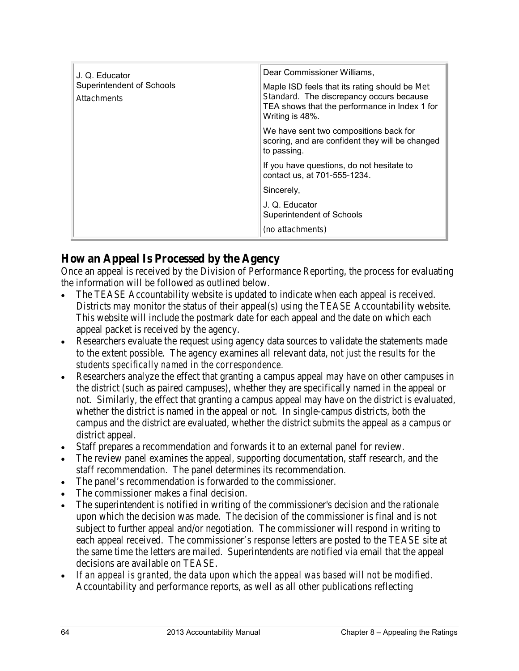| J. Q. Educator<br><b>Superintendent of Schools</b><br>Attachments | Dear Commissioner Williams,<br>Maple ISD feels that its rating should be Met<br>Standard. The discrepancy occurs because<br>TEA shows that the performance in Index 1 for<br>Writing is 48%. |
|-------------------------------------------------------------------|----------------------------------------------------------------------------------------------------------------------------------------------------------------------------------------------|
|                                                                   | We have sent two compositions back for<br>scoring, and are confident they will be changed<br>to passing.                                                                                     |
|                                                                   | If you have questions, do not hesitate to<br>contact us, at 701-555-1234.                                                                                                                    |
|                                                                   | Sincerely,                                                                                                                                                                                   |
|                                                                   | J. Q. Educator<br>Superintendent of Schools                                                                                                                                                  |
|                                                                   | (no attachments)                                                                                                                                                                             |

#### **How an Appeal Is Processed by the Agency**

Once an appeal is received by the Division of Performance Reporting, the process for evaluating the information will be followed as outlined below.

- The TEASE Accountability website is updated to indicate when each appeal is received. Districts may monitor the status of their appeal(s) using the TEASE Accountability website. This website will include the postmark date for each appeal and the date on which each appeal packet is received by the agency.
- Researchers evaluate the request using agency data sources to validate the statements made to the extent possible. The agency examines all relevant data, *not just the results for the students specifically named in the correspondence.*
- Researchers analyze the effect that granting a campus appeal may have on other campuses in the district (such as paired campuses), whether they are specifically named in the appeal or not. Similarly, the effect that granting a campus appeal may have on the district is evaluated, whether the district is named in the appeal or not. In single-campus districts, both the campus and the district are evaluated, whether the district submits the appeal as a campus or district appeal.
- Staff prepares a recommendation and forwards it to an external panel for review.
- The review panel examines the appeal, supporting documentation, staff research, and the staff recommendation. The panel determines its recommendation.
- The panel's recommendation is forwarded to the commissioner.
- The commissioner makes a final decision.
- The superintendent is notified in writing of the commissioner's decision and the rationale upon which the decision was made. The decision of the commissioner is final and is not subject to further appeal and/or negotiation. The commissioner will respond in writing to each appeal received. The commissioner's response letters are posted to the TEASE site at the same time the letters are mailed. Superintendents are notified via email that the appeal decisions are available on TEASE.
- *If an appeal is granted, the data upon which the appeal was based will not be modified.*  Accountability and performance reports, as well as all other publications reflecting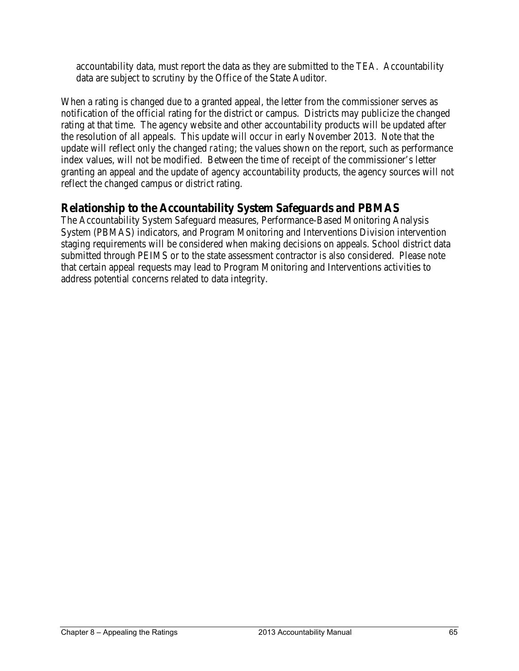accountability data, must report the data as they are submitted to the TEA. Accountability data are subject to scrutiny by the Office of the State Auditor.

When a rating is changed due to a granted appeal, the letter from the commissioner serves as notification of the official rating for the district or campus. Districts may publicize the changed rating at that time. The agency website and other accountability products will be updated after the resolution of all appeals. This update will occur in early November 2013. Note that the update will reflect only the changed *rating*; the values shown on the report, such as performance index values, will not be modified. Between the time of receipt of the commissioner's letter granting an appeal and the update of agency accountability products, the agency sources will not reflect the changed campus or district rating.

## **Relationship to the Accountability System Safeguards and PBMAS**

The Accountability System Safeguard measures, Performance-Based Monitoring Analysis System (PBMAS) indicators, and Program Monitoring and Interventions Division intervention staging requirements will be considered when making decisions on appeals. School district data submitted through PEIMS or to the state assessment contractor is also considered. Please note that certain appeal requests may lead to Program Monitoring and Interventions activities to address potential concerns related to data integrity.